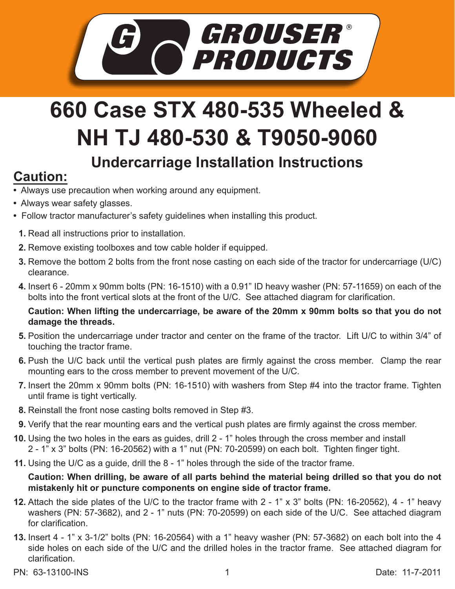

## **660 Case STX 480-535 Wheeled & NH TJ 480-530 & T9050-9060 Undercarriage Installation Instructions**

## **Caution:**

- Always use precaution when working around any equipment.
- Always wear safety glasses.
- Follow tractor manufacturer's safety guidelines when installing this product.
- **1.** Read all instructions prior to installation.
- **2.** Remove existing toolboxes and tow cable holder if equipped.
- **3.** Remove the bottom 2 bolts from the front nose casting on each side of the tractor for undercarriage (U/C) clearance.
- Insert 6 20mm x 90mm bolts (PN: 16-1510) with a 0.91" ID heavy washer (PN: 57-11659) on each of the **4.** bolts into the front vertical slots at the front of the U/C. See attached diagram for clarification.

**Caution: When lifting the undercarriage, be aware of the 20mm x 90mm bolts so that you do not damage the threads.**

- **5.** Position the undercarriage under tractor and center on the frame of the tractor. Lift U/C to within 3/4" of touching the tractor frame.
- **6.** Push the U/C back until the vertical push plates are firmly against the cross member. Clamp the rear mounting ears to the cross member to prevent movement of the U/C.
- **7.** Insert the 20mm x 90mm bolts (PN: 16-1510) with washers from Step #4 into the tractor frame. Tighten until frame is tight vertically.
- Reinstall the front nose casting bolts removed in Step #3. **8.**
- **9.** Verify that the rear mounting ears and the vertical push plates are firmly against the cross member.
- **10.** Using the two holes in the ears as guides, drill 2 1" holes through the cross member and install 2 - 1" x 3" bolts (PN: 16-20562) with a 1" nut (PN: 70-20599) on each bolt. Tighten finger tight.
- **11.** Using the U/C as a guide, drill the 8 1" holes through the side of the tractor frame.

**Caution: When drilling, be aware of all parts behind the material being drilled so that you do not mistakenly hit or puncture components on engine side of tractor frame.**

- Attach the side plates of the U/C to the tractor frame with 2 1" x 3" bolts (PN: 16-20562), 4 1" heavy **12.** washers (PN: 57-3682), and 2 - 1" nuts (PN: 70-20599) on each side of the U/C. See attached diagram for clarification.
- Insert 4 1" x 3-1/2" bolts (PN: 16-20564) with a 1" heavy washer (PN: 57-3682) on each bolt into the 4 **13.** side holes on each side of the U/C and the drilled holes in the tractor frame. See attached diagram for clarification.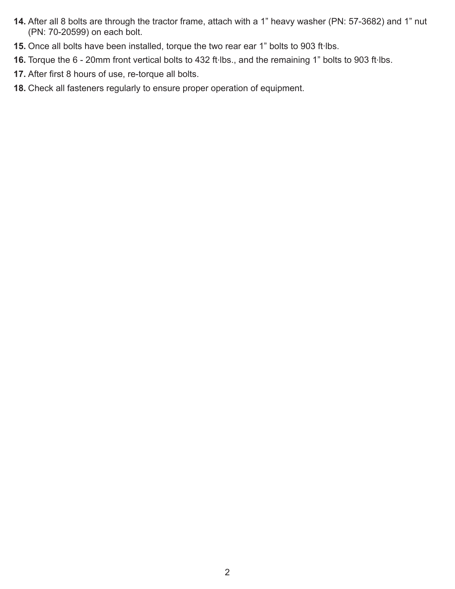- **14.** After all 8 bolts are through the tractor frame, attach with a 1" heavy washer (PN: 57-3682) and 1" nut (PN: 70-20599) on each bolt.
- 15. Once all bolts have been installed, torque the two rear ear 1" bolts to 903 ft·lbs.
- 16. Torque the 6 20mm front vertical bolts to 432 ft·lbs., and the remaining 1" bolts to 903 ft·lbs.
- After first 8 hours of use, re-torque all bolts. **17.**
- Check all fasteners regularly to ensure proper operation of equipment. **18.**